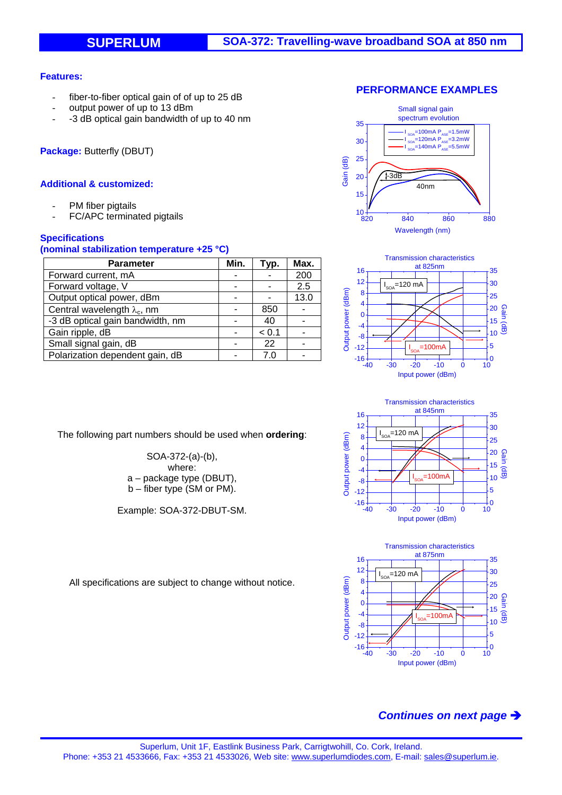### **Features:**

- fiber-to-fiber optical gain of of up to 25 dB
- output power of up to 13 dBm
- -3 dB optical gain bandwidth of up to 40 nm

**Package:** Butterfly (DBUT)

### **Additional & customized:**

- PM fiber pigtails
- FC/APC terminated pigtails

### **Specifications**

#### **(nominal stabilization temperature +25 °C)**

| <b>Parameter</b>                    | Min. | Typ.  | Max. |
|-------------------------------------|------|-------|------|
| Forward current, mA                 |      |       | 200  |
| Forward voltage, V                  |      |       | 2.5  |
| Output optical power, dBm           |      |       | 13.0 |
| Central wavelength $\lambda_c$ , nm |      | 850   |      |
| -3 dB optical gain bandwidth, nm    |      | 40    |      |
| Gain ripple, dB                     |      | < 0.1 |      |
| Small signal gain, dB               |      | 22    |      |
| Polarization dependent gain, dB     |      | 7 C   |      |

The following part numbers should be used when **ordering**:

SOA-372-(a)-(b), where: a – package type (DBUT), b – fiber type (SM or PM).

Example: SOA-372-DBUT-SM.









All specifications are subject to change without notice.

# *Continues on next page*

### **PERFORMANCE EXAMPLES**